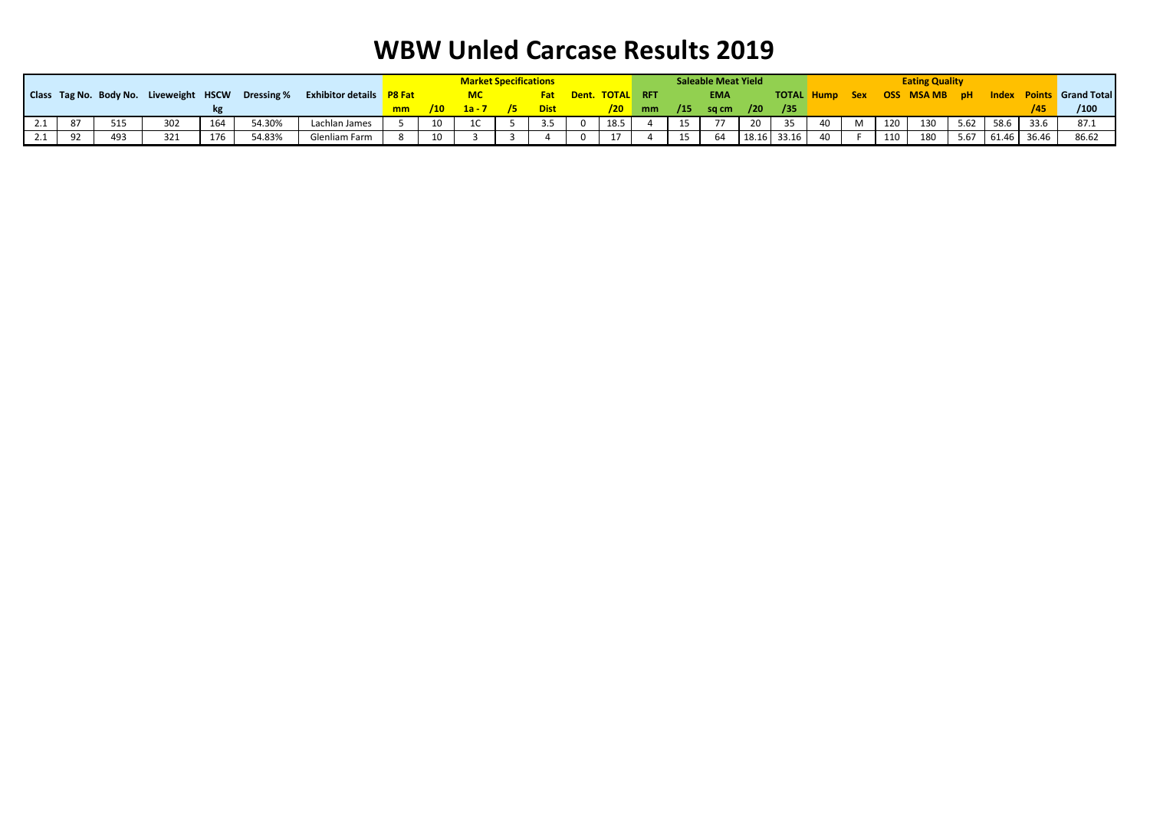|     |    |     |     |     |                                                   |                                 |    |     | <b>Market Specifications</b> |    |             |                        |          |     | <b>Saleable Meat Yield</b> |       |       |                |   |     | <b>Eating Quality</b> |      |       |       |                                 |
|-----|----|-----|-----|-----|---------------------------------------------------|---------------------------------|----|-----|------------------------------|----|-------------|------------------------|----------|-----|----------------------------|-------|-------|----------------|---|-----|-----------------------|------|-------|-------|---------------------------------|
|     |    |     |     |     | Class Tag No. Body No. Liveweight HSCW Dressing % | <b>Exhibitor details</b> P8 Fat |    |     |                              |    |             | <b>Dent. TOTAL RFT</b> |          |     | <b>EMA</b>                 |       |       | TOTAL Hump Sex |   |     | <b>OSS MSAMB pH</b>   |      |       |       | <b>Index Points</b> Grand Total |
|     |    |     |     |     |                                                   |                                 | mm | /10 | $1a - 7$                     | /5 | <b>Dist</b> |                        | $/20$ mm | /15 | sq cm $\frac{1}{20}$       |       | /35   |                |   |     |                       |      |       |       | /100                            |
| 2.1 | 87 | 515 | 302 | 164 | 54.30%                                            | Lachlan James                   |    | 10  |                              |    | 3.5         | 18.5                   |          | 15  | 77                         | 20    | - 35  | 40             | M | 120 | 130                   | 5.62 | 58.6  | 33.6  | 87.1                            |
| 2.1 | 92 | 493 | 321 | 176 | 54.83%                                            | Glenliam Farm                   |    | 10  |                              |    |             | 17                     |          | 15  | 64                         | 18.16 | 33.16 | 40             |   | 110 | 180                   | 5.67 | 61.46 | 36.46 | 86.62                           |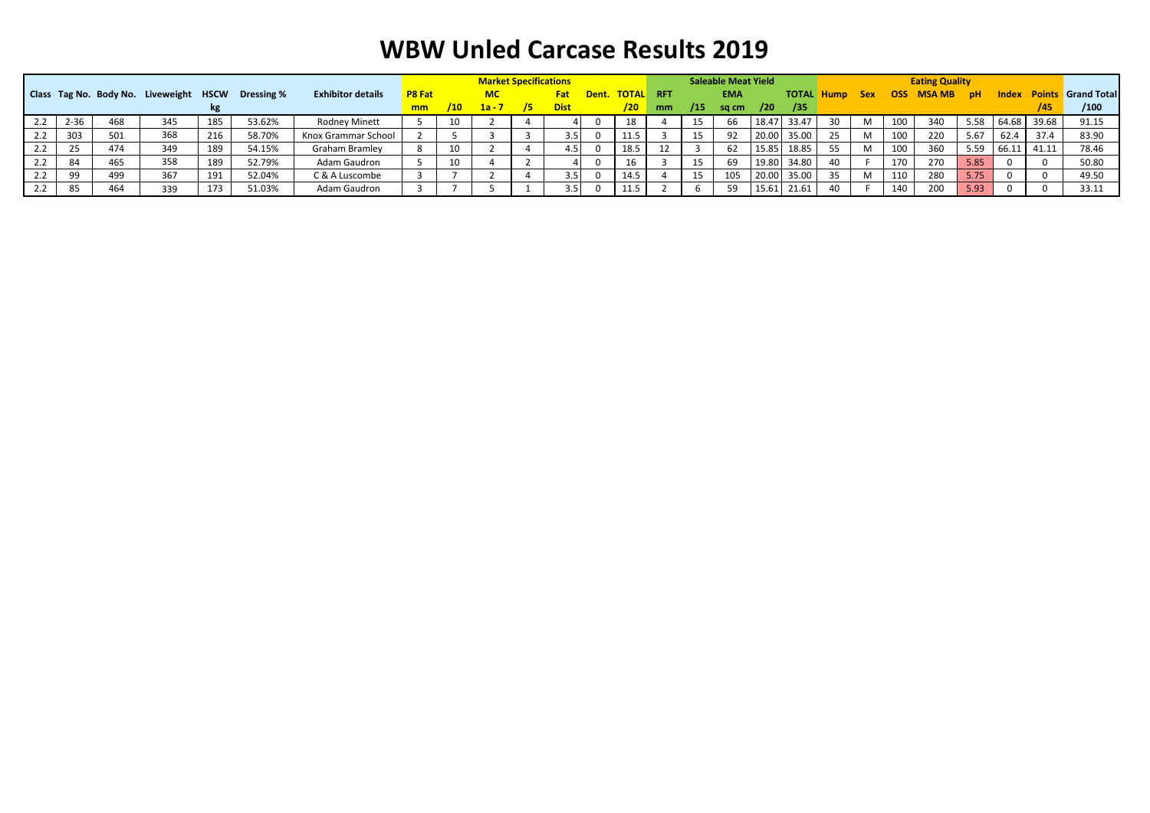|     |          |     |                                        |     |            |                          |               |     | <b>Market Specifications</b> |    |             |       |                  |    |     | <b>Saleable Meat Yield</b> |            |             |                   |            |            | <b>Eating Quality</b> |      |       |       |                                 |
|-----|----------|-----|----------------------------------------|-----|------------|--------------------------|---------------|-----|------------------------------|----|-------------|-------|------------------|----|-----|----------------------------|------------|-------------|-------------------|------------|------------|-----------------------|------|-------|-------|---------------------------------|
|     |          |     | Class Tag No. Body No. Liveweight HSCW |     | Dressing % | <b>Exhibitor details</b> | <b>P8 Fat</b> |     | <b>MC</b>                    |    |             | Dent. | <b>TOTAL RFT</b> |    |     | <b>EMA</b>                 |            |             | <b>TOTAL Hump</b> | <b>Sex</b> | <b>OSS</b> | <b>MSAMB</b>          | - pH |       |       | <b>Index Points Grand Total</b> |
|     |          |     |                                        |     |            |                          | mm            | /10 | $1a - 7$                     | 75 | <b>Dist</b> |       | /20              | mm | /15 | sa cm                      | /20        | /35         |                   |            |            |                       |      |       |       | /100                            |
| 2.2 | $2 - 36$ | 468 | 345                                    | 185 | 53.62%     | <b>Rodney Minett</b>     |               | 10  |                              |    |             |       | 18               |    | 15  | 66                         | $18.4^{-}$ | 33.47       | 30                | M          | 100        | 340                   | 5.58 | 64.68 | 39.68 | 91.15                           |
| 2.2 | 303      | 501 | 368                                    | 216 | 58.70%     | Knox Grammar School      |               |     |                              |    | 3.5         |       | 11.5             |    | 15  | 92                         |            | 20.00 35.00 | 25                | M          | 100        | 220                   | 5.67 | 62.4  | 37.4  | 83.90                           |
| 2.2 | 25       | 474 | 349                                    | 189 | 54.15%     | Graham Bramley           |               | 10  |                              |    | 4.5         |       | 18.5             | 12 |     | 62                         | 15.85      | 18.85       | 55                | M          | 100        | 360                   | 5.59 | 66.11 | 41.11 | 78.46                           |
| 2.2 | 84       | 465 | 358                                    | 189 | 52.79%     | Adam Gaudron             |               | 10  |                              |    |             |       | 16               |    |     | 69                         |            | 19.80 34.80 | 40                |            | 170        | 270                   | 5.85 |       |       | 50.80                           |
| 2.2 | 99       | 499 | 367                                    | 191 | 52.04%     | C & A Luscombe           |               |     |                              |    | 3.5         |       | 14.5             |    | 15  | 105                        | 20.00      | 35.00       | 35                | M          | 110        | 280                   | 5.75 |       |       | 49.50                           |
| 2.2 | 85       | 464 | 339                                    | 173 | 51.03%     | Adam Gaudron             |               |     |                              |    |             |       | 11.5             |    |     | 59                         | 15.6       | 21.61       | 40                |            | 140        | 200                   | 5.93 |       |       | 33.11                           |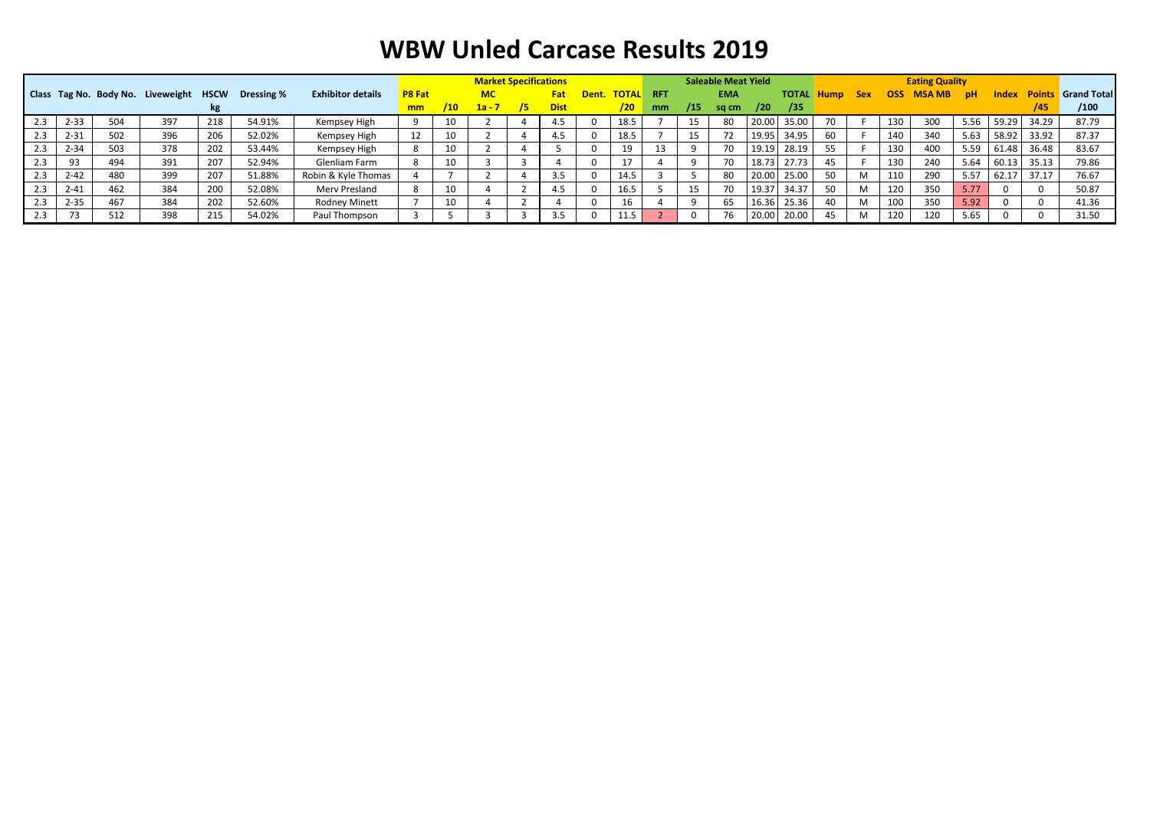|     |          |     |                                        |     |            |                          | <b>Market Specifications</b> |     |           |    |             |                 | <b>Saleable Meat Yield</b> |     |            |       |                   |     | <b>Eating Quality</b> |      |              |      |       |       |                           |
|-----|----------|-----|----------------------------------------|-----|------------|--------------------------|------------------------------|-----|-----------|----|-------------|-----------------|----------------------------|-----|------------|-------|-------------------|-----|-----------------------|------|--------------|------|-------|-------|---------------------------|
|     |          |     | Class Tag No. Body No. Liveweight HSCW |     | Dressing % | <b>Exhibitor details</b> | <b>P8 Fat</b>                |     | <b>MC</b> |    | <b>Fat</b>  | Dent. TOTAL RFT |                            |     | <b>EMA</b> |       | <b>TOTAL Hump</b> |     | <b>Sex</b>            | OSS. | <b>MSAMB</b> | - pH | Index |       | <b>Points Grand Total</b> |
|     |          |     |                                        |     |            |                          | mm                           | /10 | $1a - 7$  | /5 | <b>Dist</b> | /20             | <sub>mm</sub>              | /15 | sq cm      | /20   | /35               |     |                       |      |              |      |       |       | /100                      |
| 2.3 | $2 - 33$ | 504 | 397                                    | 218 | 54.91%     | Kempsey High             |                              | 10  |           |    |             | 18.5            |                            | 15  | 80         | 20.00 | 35.00             | 70. |                       | 130  | 300          | 5.56 | 59.29 | 34.29 | 87.79                     |
| 2.3 | $2 - 31$ | 502 | 396                                    | 206 | 52.02%     | Kempsey High             | 12                           | 10  |           |    |             | 18.5            |                            | 15  | 72         | 19.95 | 34.95             | 60  |                       | 140  | 340          | 5.63 | 58.92 | 33.92 | 87.37                     |
| 2.3 | $2 - 34$ | 503 | 378                                    | 202 | 53.44%     | Kempsey High             |                              | 10  |           |    |             | 19              |                            |     | 70         | 19.19 | 28.19             | 55  |                       | 130  | 400          | 5.59 | 61.48 | 36.48 | 83.67                     |
| 2.3 | 93       | 494 | 391                                    | 207 | 52.94%     | Glenliam Farm            |                              | 10  |           |    |             |                 |                            |     | 70         | 18.73 | 27.73             | 45  |                       | 130  | 240          | 5.64 | 60.13 | 35.13 | 79.86                     |
| 2.3 | $2 - 42$ | 480 | 399                                    | 207 | 51.88%     | Robin & Kyle Thomas      |                              |     |           |    |             | 14.5            |                            |     | 80         | 20.00 | 25.00             | 50  | M                     | 110  | 290          | 5.57 | 62.17 |       | 76.67                     |
| 2.3 | $2 - 41$ | 462 | 384                                    | 200 | 52.08%     | Merv Presland            |                              | 10  |           |    | 4.5         | 16.5            |                            | 15  | 70         | 19.37 | 34.37             | 50  | M                     | 120  | 350          | 5.77 |       |       | 50.87                     |
| 2.3 | $2 - 35$ | 467 | 384                                    | 202 | 52.60%     | <b>Rodney Minett</b>     |                              | 10  |           |    |             | 16              |                            |     | 65         | 16.36 | 25.36             | 40  | M                     | 100  | 350          | 5.92 |       |       | 41.36                     |
| 2.3 | 73       | 512 | 398                                    | 215 | 54.02%     | Paul Thompson            |                              |     |           |    |             | 11.5            |                            |     | 76         | 20.00 | 20.00             | 45  | M                     | 120  | 120          | 5.65 |       |       | 31.50                     |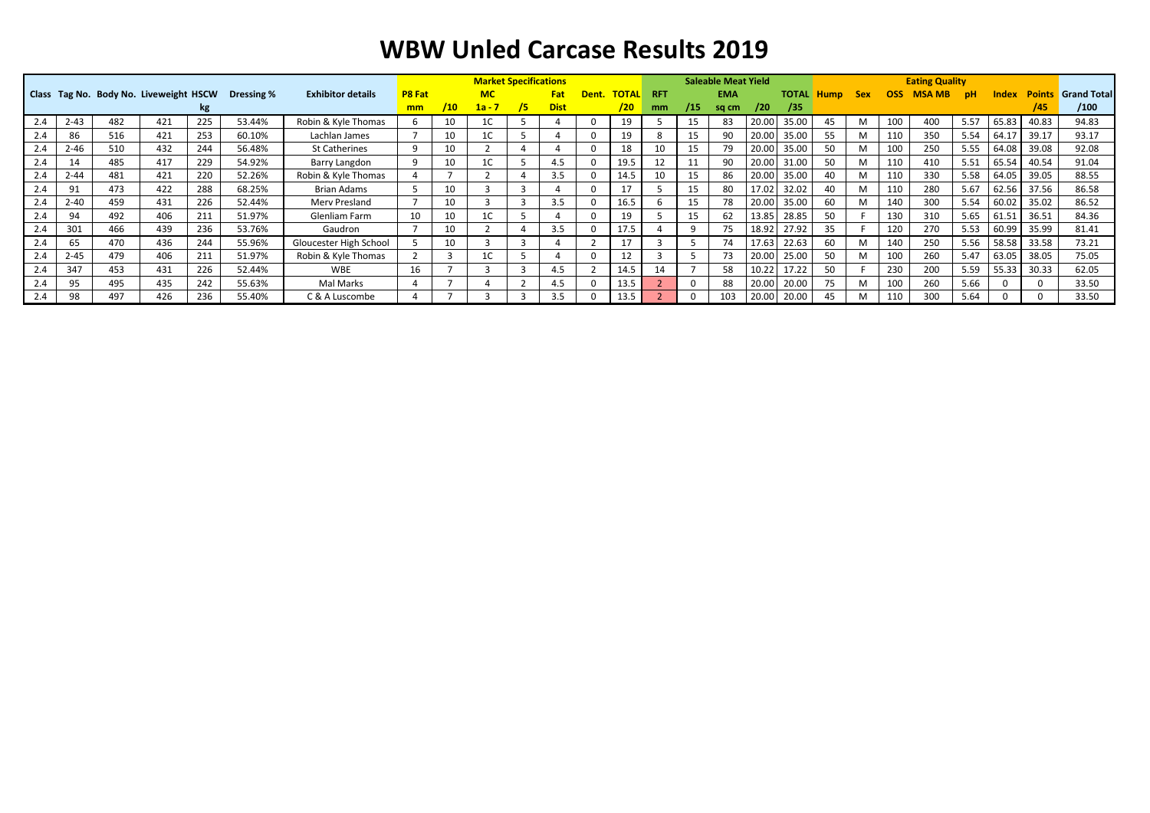|     |          |     |                                        |     |            |                          |               |     | <b>Market Specifications</b> |                |             |              |              |            |     | <b>Saleable Meat Yield</b> |       |              |             |            |            | <b>Eating Quality</b> |           |       |               |                    |
|-----|----------|-----|----------------------------------------|-----|------------|--------------------------|---------------|-----|------------------------------|----------------|-------------|--------------|--------------|------------|-----|----------------------------|-------|--------------|-------------|------------|------------|-----------------------|-----------|-------|---------------|--------------------|
|     |          |     | Class Tag No. Body No. Liveweight HSCW |     | Dressing % | <b>Exhibitor details</b> | <b>P8 Fat</b> |     | <b>MC</b>                    |                | Fat         | Dent.        | <b>TOTAL</b> | <b>RFT</b> |     | <b>EMA</b>                 |       | <b>TOTAL</b> | <b>Hump</b> | <b>Sex</b> | <b>OSS</b> | <b>MSA MB</b>         | <b>pH</b> | Index | <b>Points</b> | <b>Grand Total</b> |
|     |          |     |                                        | kg  |            |                          | mm            | /10 | $1a - 7$                     | 75.            | <b>Dist</b> |              | /20          | mm         | /15 | sq cm                      | /20   | /35          |             |            |            |                       |           |       | /45           | /100               |
| 2.4 | $2 - 43$ | 482 | 421                                    | 225 | 53.44%     | Robin & Kyle Thomas      |               | 10  |                              |                |             |              | 19           |            | 15  | 83                         | 20.00 | 35.00        | 45          |            | 100        | 400                   | 5.57      | 65.83 | 40.83         | 94.83              |
| 2.4 | 86       | 516 | 421                                    | 253 | 60.10%     | Lachlan James            |               | 10  | 1C                           |                |             |              | 19           |            | 15  | 90                         |       | 20.00 35.00  | 55          | M          | 110        | 350                   | 5.54      | 64.17 | 39.17         | 93.17              |
| 2.4 | $2 - 46$ | 510 | 432                                    | 244 | 56.48%     | St Catherines            | Q             | 10  |                              | $\overline{a}$ |             | <sup>0</sup> | 18           | 10         | 15  | 79                         | 20.00 | 35.00        | 50          |            | 100        | 250                   | 5.55      | 64.08 | 39.08         | 92.08              |
| 2.4 |          | 485 | 417                                    | 229 | 54.92%     | Barry Langdon            |               | 10  | LC.                          |                |             |              | 19.5         | 12         | 11  | 90                         | 20.00 | 31.00        | 50          | M          | 110        | 410                   | 5.51      | 65.54 | 40.54         | 91.04              |
|     | $2 - 44$ | 481 | 421                                    | 220 | 52.26%     | Robin & Kyle Thomas      |               |     |                              | 4              | 3.5         |              | 14.5         | 10         | 15  | 86                         |       | 20.00 35.00  | 40          | M          | 110        | 330                   | 5.58      | 64.05 | 39.05         | 88.55              |
| 2.4 | 91       | 473 | 422                                    | 288 | 68.25%     | Brian Adams              |               | 10  |                              | 3              |             |              | 17           |            | 15  | 80                         | 17.02 | 32.02        | 40          | M          | 110        | 280                   | 5.67      | 62.56 | 37.56         | 86.58              |
| 2.4 | $2 - 40$ | 459 | 431                                    | 226 | 52.44%     | Merv Presland            |               | 10  |                              | 3              | 3.5         |              | 16.5         |            | 15  | 78                         | 20.00 | 35.00        | 60          |            | 140        | 300                   | 5.54      | 60.02 | 35.02         | 86.52              |
| 2.4 | 94       | 492 | 406                                    | 211 | 51.97%     | Glenliam Farm            | 10            | 10  | 1C -                         |                |             | <sup>0</sup> | 19           |            | 15  | 62                         | 13.85 | 28.85        | 50          |            | 130        | 310                   | 5.65      | 61.51 | 36.51         | 84.36              |
| 2.4 | 301      | 466 | 439                                    | 236 | 53.76%     | Gaudron                  |               | 10  |                              | Δ              | 3.5         |              | 17.5         |            |     | 75                         | 18.92 | 27.92        | 35          |            | 120        | 270                   | 5.53      | 60.99 | 35.99         | 81.41              |
| 2.4 | 65       | 470 | 436                                    | 244 | 55.96%     | Gloucester High School   |               | 10  |                              | 3              |             |              | 17           |            |     | 74                         | 17.63 | 22.63        | 60          |            | 140        | 250                   | 5.56      | 58.58 | 33.58         | 73.21              |
| 2.4 | $2 - 45$ | 479 | 406                                    | 211 | 51.97%     | Robin & Kyle Thomas      |               | 3   |                              |                |             |              | 12           |            |     | 73                         | 20.00 | 25.00        | 50          | M          | 100        | 260                   | 5.47      | 63.05 | 38.05         | 75.05              |
|     | 347      | 453 | 431                                    | 226 | 52.44%     | <b>WBE</b>               | 16            |     |                              | 3              | 4.5         |              | 14.5         | 14         |     | 58                         | 10.22 | 17.22        | 50          |            | 230        | 200                   | 5.59      | 55.33 | 30.33         | 62.05              |
| 2.4 | 95       | 495 | 435                                    | 242 | 55.63%     | Mal Marks                |               |     |                              | $\overline{2}$ |             |              | 13.5         |            |     | 88                         | 20.00 | 20.00        | 75          | M          | 100        | 260                   | 5.66      |       |               | 33.50              |
| 2.4 | 98       | 497 | 426                                    | 236 | 55.40%     | C & A Luscombe           |               |     |                              | 3              | 3.5         |              | 13.5         |            |     | 103                        | 20.00 | 20.00        | 45          | M          | 110        | 300                   | 5.64      |       |               | 33.50              |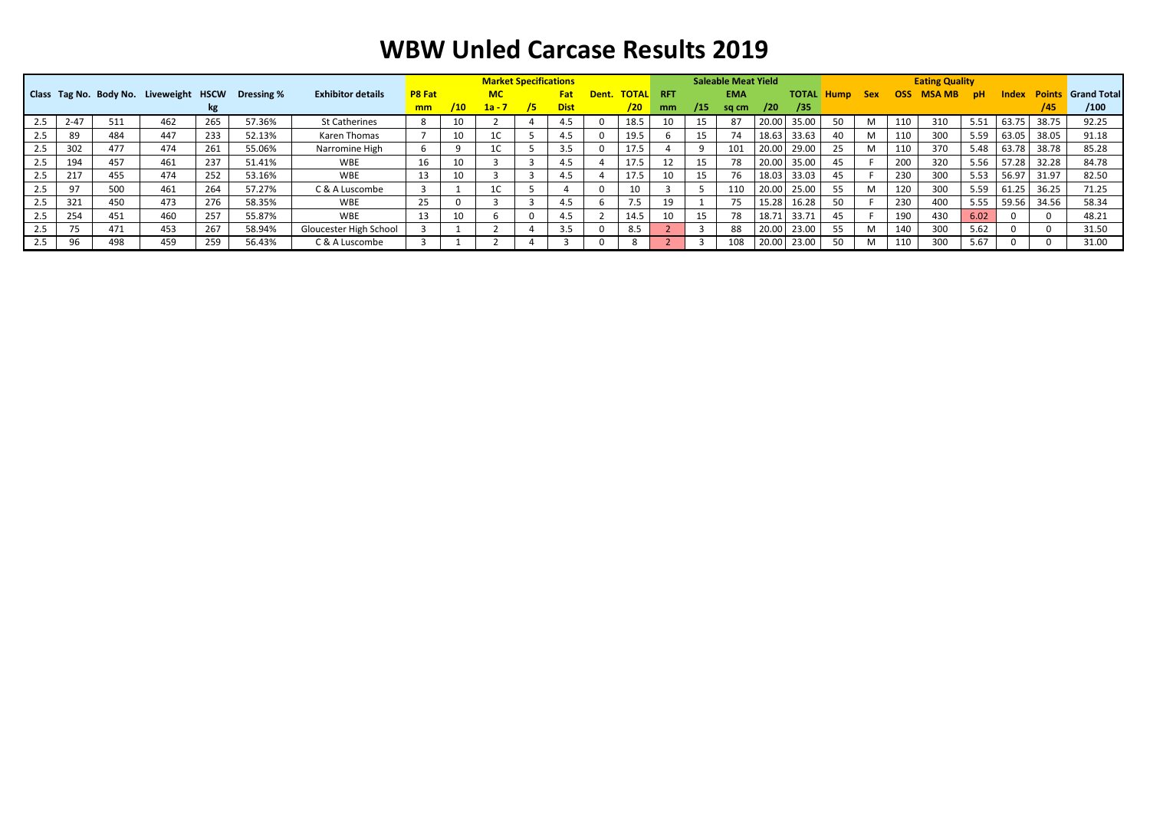|     | Class Tag No. Body No. Liveweight HSCW |     |     |     |            |                          |                |     | <b>Market Specifications</b> |     |             |       |                  |    |     | <b>Saleable Meat Yield</b> |                   |             |                   |            |      | <b>Eating Quality</b> |           |              |       |                           |
|-----|----------------------------------------|-----|-----|-----|------------|--------------------------|----------------|-----|------------------------------|-----|-------------|-------|------------------|----|-----|----------------------------|-------------------|-------------|-------------------|------------|------|-----------------------|-----------|--------------|-------|---------------------------|
|     |                                        |     |     |     | Dressing % | <b>Exhibitor details</b> | <b>P8 Fat</b>  |     | <b>MC</b>                    |     | Fat 1       | Dent. | <b>TOTAL RFT</b> |    |     | <b>EMA</b>                 |                   |             | <b>TOTAL Hump</b> | <b>Sex</b> | OSS. | <b>MSA MB</b>         | <b>pH</b> | <b>Index</b> |       | <b>Points</b> Grand Total |
|     |                                        |     |     | kg  |            |                          | m <sub>m</sub> | /10 | $1a - 7$                     | 75. | <b>Dist</b> |       | /20              | mm | /15 | sq cm                      | /20               | /35         |                   |            |      |                       |           |              | /45   | /100                      |
| 2.5 | 2-47                                   | 511 | 462 | 265 | 57.36%     | <b>St Catherines</b>     |                | 10  |                              |     |             |       | 18.              | 10 |     |                            | 20.00             | 35.00       |                   |            |      | 310                   | 5.51      | 63.75        | 38.75 | 92.25                     |
| 2.5 | 89                                     | 484 | 447 | 233 | 52.13%     | Karen Thomas             |                | 10  | 1C                           |     | 4.5         |       | 19.5             |    | 15  |                            | 18.63             | 33.63       | 40                | м          |      | 300                   | 5.59      | 63.05        | 38.05 | 91.18                     |
| 2.5 | 302                                    | 477 | 474 | 261 | 55.06%     | Narromine High           | b              |     | $\sim$<br>TC.                |     | 3.5         |       | 17.5             |    |     | 101                        | 20.00             | 29.00       | 25                | м          |      | 370                   | 5.48      | 63.78        | 38.78 | 85.28                     |
| 2.5 | 194                                    | 457 | 461 | 237 | 51.41%     | <b>WBE</b>               | 16             | 10  |                              |     | 4.5         |       | 17.5             |    | 15  |                            |                   | 20.00 35.00 | 45                |            | 200  | 320                   | 5.56      | 57.28        | 32.28 | 84.78                     |
| 2.5 | 217                                    | 455 | 474 | 252 | 53.16%     | <b>WBE</b>               | 13             | 10  |                              |     | 4.5         |       | 17.5             | 10 | 15  |                            |                   | 18.03 33.03 | 45                |            | 230  | 300                   | 5.53      | 56.97        | 31.97 | 82.50                     |
| 2.5 | - 21                                   | 500 | 461 | 264 | 57.27%     | C & A Luscombe           |                |     | $\sim$<br>TC.                |     |             |       | 10               |    |     | 110                        | 20.00             | 25.00       | 55                |            | 120  | 300                   | 5.59      | 61.25        | 36.25 | 71.25                     |
| 2.5 | 321                                    | 450 | 473 | 276 | 58.35%     | <b>WBE</b>               | 25             |     |                              |     | 4.5         |       | <b>75</b>        | 19 |     |                            | 15.28             | 16.28       | 50                |            | 230  | 400                   | 5.55      | 59.56        | 34.56 | 58.34                     |
| 2.5 | 254                                    | 451 | 460 | 257 | 55.87%     | <b>WBE</b>               | 13             | 10  |                              |     | 4.5         |       | 14.5             | 10 | 15  | 78                         | 18.7 <sup>2</sup> | 33.71       | 45                |            | 190  | 430                   | 6.02      |              |       | 48.21                     |
| 2.5 |                                        | 471 | 453 | 267 | 58.94%     | Gloucester High School   |                |     |                              |     | 3.5         |       | 8.5              |    |     | 88                         | 20.00             | 23.00       | 55                |            | 140  | 300                   | 5.62      |              |       | 31.50                     |
| 2.5 |                                        | 498 | 459 | 259 | 56.43%     | C & A Luscombe           |                |     |                              |     |             |       |                  |    |     | 108                        | 20.00             | 23.00       | 50                |            |      | 300                   | 5.67      |              |       | 31.00                     |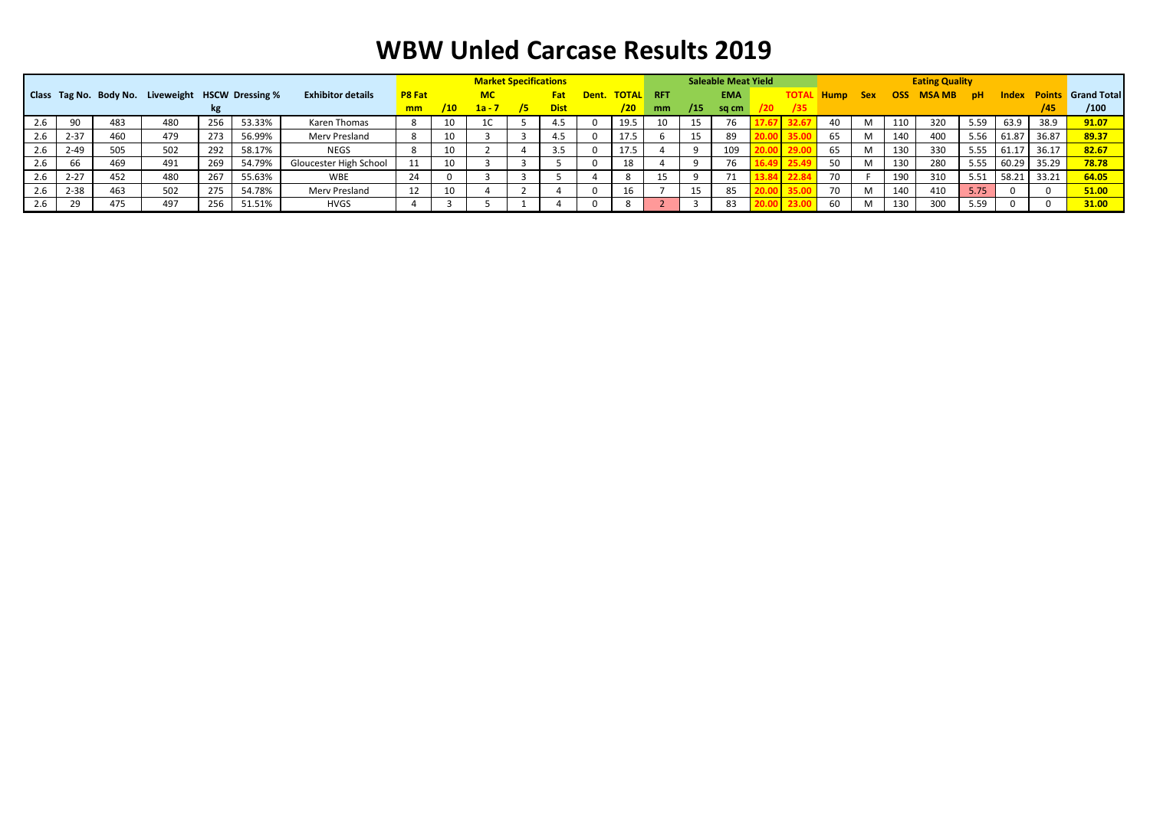|     |          |     |                                                          |     |        |                          | <b>Market Specifications</b> |                |           |     |             |             | <b>Saleable Meat Yield</b> |     |            |     |      |             | <b>Eating Quality</b> |            |              |           |          |       |                           |
|-----|----------|-----|----------------------------------------------------------|-----|--------|--------------------------|------------------------------|----------------|-----------|-----|-------------|-------------|----------------------------|-----|------------|-----|------|-------------|-----------------------|------------|--------------|-----------|----------|-------|---------------------------|
|     |          |     | <b>Class Tag No. Body No. Liveweight HSCW Dressing %</b> |     |        | <b>Exhibitor details</b> | <b>P8 Fat</b>                |                | <b>MC</b> |     | <b>Fat</b>  | Dent. TOTAL | <b>RFT</b>                 |     | <b>EMA</b> |     | TOTA | <b>Hump</b> | <b>Sex</b>            | <b>OSS</b> | <b>MSAMB</b> | <b>DH</b> | Index    |       | <b>Points</b> Grand Total |
|     |          |     |                                                          |     |        |                          | m <sub>m</sub>               | $^{\prime}$ 10 | $1a - 7$  | 75. | <b>Dist</b> | /20         | mm                         | /15 | sq cm      | 120 |      |             |                       |            |              |           |          | 745   | /100                      |
| 2.6 | 90       | 483 | 480                                                      | 256 | 53.33% | Karen Thomas             |                              | 10             |           |     | 4.5         | 19.5        | 10                         |     | 76         |     | 32.6 | 40          | M                     | 110        | 320          | 5.59      | 63.9     | 38.9  | 91.07                     |
| 2.6 | $2 - 37$ | 460 | 479                                                      | 273 | 56.99% | Merv Presland            |                              | 10             |           |     | 4.5         | 17.5        |                            |     | 89         |     |      | 65          | M                     | 140        | 400          | 5.56      | 61.87    | 36.87 | 89.37                     |
| 2.6 | $2 - 49$ | 505 | 502                                                      | 292 | 58.17% | <b>NEGS</b>              |                              | 10             |           |     | 3.5         | 17.5        |                            |     | 109        |     |      | 65          | M                     | 130        | 330          | 5.55      | 61.17    | 36.17 | 82.67                     |
| 2.6 | 66       | 469 | 491                                                      | 269 | 54.79% | Gloucester High School   |                              | 10             |           |     |             | 18          |                            |     | 76         |     |      | 50          | M                     | 130        | 280          | 5.55      | 60.29    | 35.29 | 78.78                     |
| 2.6 | $2 - 27$ | 452 | 480                                                      | 267 | 55.63% | <b>WBE</b>               | 24                           |                |           |     |             |             | 15                         |     | 71         |     |      | 70          |                       | 190        | 310          | 5.51      | 58.21    | 33.21 | 64.05                     |
| 2.6 | $2 - 38$ | 463 | 502                                                      | 275 | 54.78% | Merv Presland            | 12                           | 10             |           |     |             | 16          |                            |     | 85         |     |      | 70          | M                     | 140        | 410          | 5.75      | $\Omega$ |       | 51.00                     |
| 2.6 | 29       | 475 | 497                                                      | 256 | 51.51% | HVGS                     |                              |                |           |     |             |             |                            |     | 83         |     |      | 60          | M                     | 130        | 300          | 5.59      | 0        |       | 31.00                     |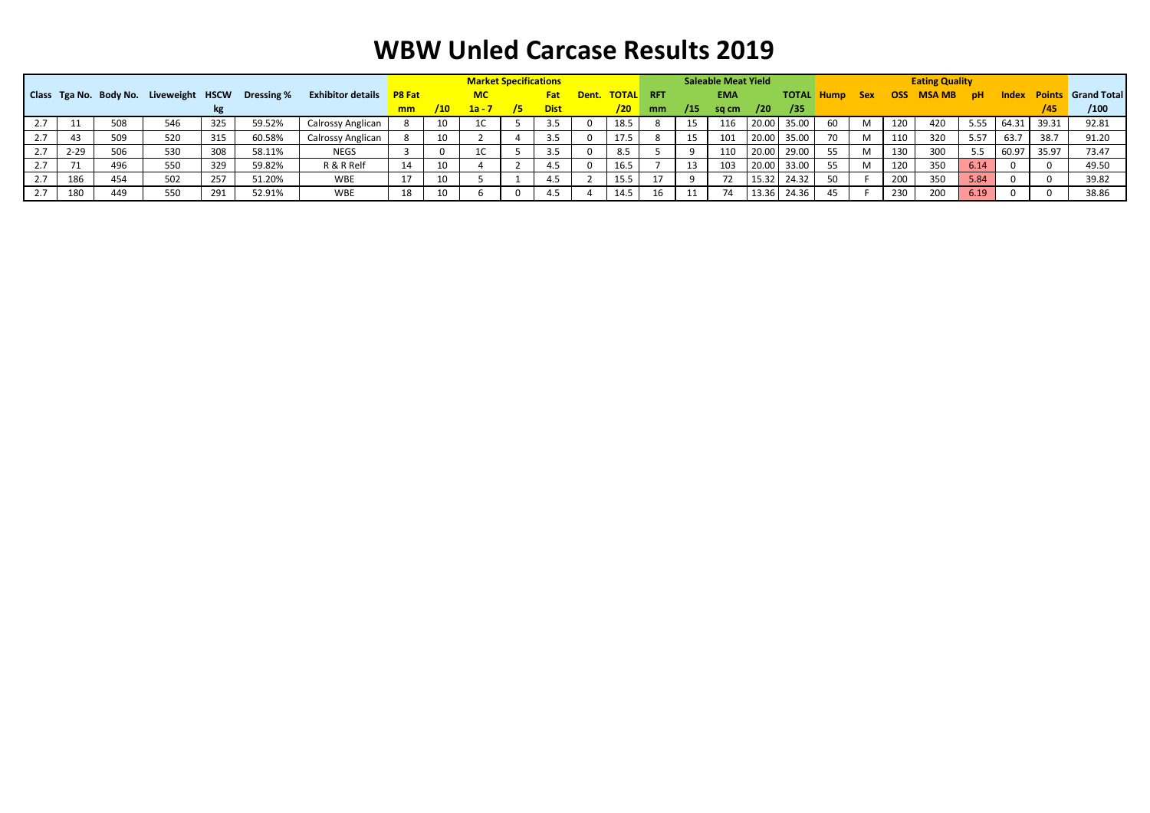|     |          |     |                                        |     |            |                          |               |            | <b>Market Specifications</b> |    |             |             |            |     | <b>Saleable Meat Yield</b> |       |       |                   |            |              | <b>Eating Quality</b> |           |       |       |                                 |
|-----|----------|-----|----------------------------------------|-----|------------|--------------------------|---------------|------------|------------------------------|----|-------------|-------------|------------|-----|----------------------------|-------|-------|-------------------|------------|--------------|-----------------------|-----------|-------|-------|---------------------------------|
|     |          |     | Class Tga No. Body No. Liveweight HSCW |     | Dressing % | <b>Exhibitor details</b> | <b>P8 Fat</b> |            | <b>MC</b>                    |    | Fat         | Dent. TOTAL | <b>RFT</b> |     | <b>EMA</b>                 |       |       | <b>TOTAL Hump</b> | <b>Sex</b> | OSS <b>D</b> | <b>MSA MB</b>         | <b>DH</b> |       |       | <b>Index Points</b> Grand Total |
|     |          |     |                                        |     |            |                          | mm            | $/10^{-1}$ | $1a - 7$                     | /5 | <b>Dist</b> | /20         | mm         | /15 | sq cm                      | /20   | /35   |                   |            |              |                       |           |       |       | /100                            |
| 2.7 |          | 508 | 546                                    | 325 | 59.52%     | Calrossy Anglican        |               | 10         |                              |    | 3.5         | 18.5        |            | 15  | 116                        | 20.00 | 35.00 | -60               | M          | 120          | 420                   | 5.55      | 64.31 | 39.31 | 92.81                           |
| 2.7 |          | 509 | 520                                    | 315 | 60.58%     | Calrossy Anglican        |               | 10         |                              |    | -3.5        | 1/5         |            | 15  | 101                        | 20.00 | 35.00 | 70                | M          | 110          | 320                   | 5.57      | 63.7  | 38.7  | 91.20                           |
| 2.7 | $2 - 29$ | 506 | 530                                    | 308 | 58.11%     | <b>NEGS</b>              |               |            |                              |    | 3.5         | 8.5         |            |     |                            | 20.00 | 29.00 | 55                | M          | 130          | 300                   | -5.5      | 60.97 | 35.97 | 73.47                           |
| 2.7 |          | 496 | 550                                    | 329 | 59.82%     | R & R Relf               | 14            | 10         |                              |    | 4.5         | 16.5        |            | 13  | 103                        | 20.00 | 33.00 | 55                | M          | 120          | 350                   | 6.14      |       |       | 49.50                           |
| 2.7 | 186      | 454 | 502                                    | 257 | 51.20%     | WBE                      | 17            | 10         |                              |    |             | 15.5        |            |     |                            | 15.32 | 24.32 | 50                |            | 200          | 350                   | 5.84      |       |       | 39.82                           |
| 2.7 | 180      | 449 | 550                                    | 291 | 52.91%     | WBE                      | 18            |            |                              |    | 4.5         | 14.5        | 16         | 11  |                            | 13.36 | 24.36 |                   |            | 230          | 200                   | 6.19      |       |       | 38.86                           |